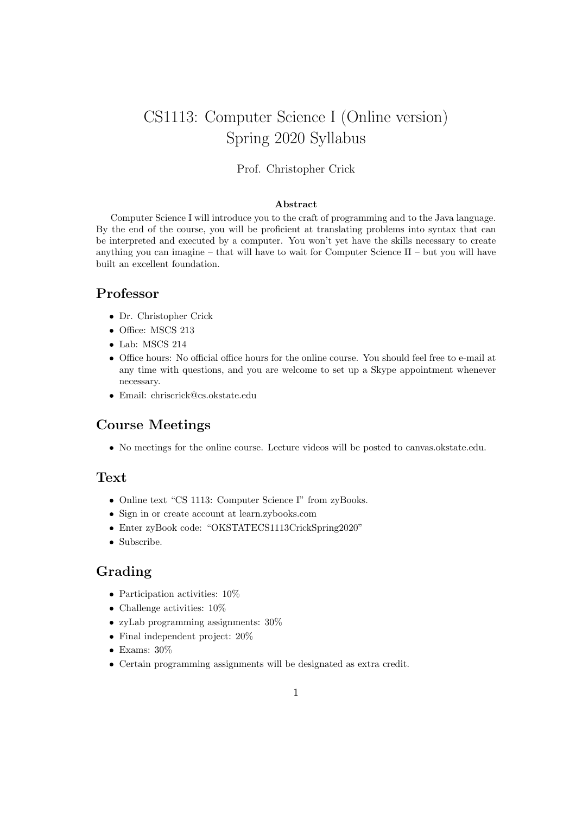# CS1113: Computer Science I (Online version) Spring 2020 Syllabus

#### Prof. Christopher Crick

#### Abstract

Computer Science I will introduce you to the craft of programming and to the Java language. By the end of the course, you will be proficient at translating problems into syntax that can be interpreted and executed by a computer. You won't yet have the skills necessary to create anything you can imagine – that will have to wait for Computer Science  $II$  – but you will have built an excellent foundation.

#### Professor

- Dr. Christopher Crick
- Office: MSCS 213
- Lab: MSCS 214
- Office hours: No official office hours for the online course. You should feel free to e-mail at any time with questions, and you are welcome to set up a Skype appointment whenever necessary.
- Email: chriscrick@cs.okstate.edu

#### Course Meetings

• No meetings for the online course. Lecture videos will be posted to canvas.okstate.edu.

#### **Text**

- Online text "CS 1113: Computer Science I" from zyBooks.
- Sign in or create account at learn.zybooks.com
- Enter zyBook code: "OKSTATECS1113CrickSpring2020"
- Subscribe.

#### Grading

- Participation activities:  $10\%$
- Challenge activities: 10%
- zyLab programming assignments: 30%
- Final independent project: 20%
- Exams: 30%
- Certain programming assignments will be designated as extra credit.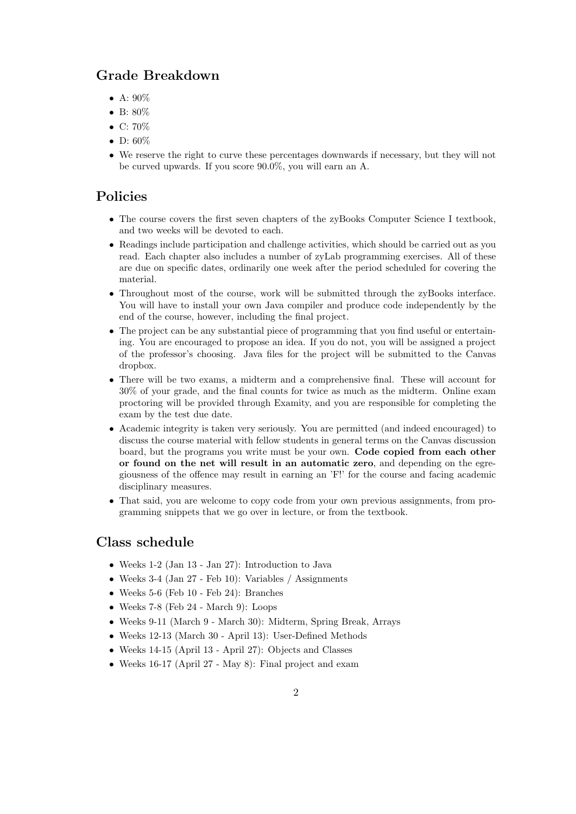### Grade Breakdown

- A:  $90\%$
- B: 80%
- C: 70%
- D:  $60\%$
- We reserve the right to curve these percentages downwards if necessary, but they will not be curved upwards. If you score 90.0%, you will earn an A.

#### Policies

- The course covers the first seven chapters of the zyBooks Computer Science I textbook. and two weeks will be devoted to each.
- Readings include participation and challenge activities, which should be carried out as you read. Each chapter also includes a number of zyLab programming exercises. All of these are due on specific dates, ordinarily one week after the period scheduled for covering the material.
- Throughout most of the course, work will be submitted through the zyBooks interface. You will have to install your own Java compiler and produce code independently by the end of the course, however, including the final project.
- The project can be any substantial piece of programming that you find useful or entertaining. You are encouraged to propose an idea. If you do not, you will be assigned a project of the professor's choosing. Java files for the project will be submitted to the Canvas dropbox.
- There will be two exams, a midterm and a comprehensive final. These will account for 30% of your grade, and the final counts for twice as much as the midterm. Online exam proctoring will be provided through Examity, and you are responsible for completing the exam by the test due date.
- Academic integrity is taken very seriously. You are permitted (and indeed encouraged) to discuss the course material with fellow students in general terms on the Canvas discussion board, but the programs you write must be your own. Code copied from each other or found on the net will result in an automatic zero, and depending on the egregiousness of the offence may result in earning an 'F!' for the course and facing academic disciplinary measures.
- That said, you are welcome to copy code from your own previous assignments, from programming snippets that we go over in lecture, or from the textbook.

#### Class schedule

- Weeks 1-2 (Jan 13 Jan 27): Introduction to Java
- Weeks 3-4 (Jan 27 Feb 10): Variables / Assignments
- Weeks 5-6 (Feb 10 Feb 24): Branches
- Weeks 7-8 (Feb 24 March 9): Loops
- Weeks 9-11 (March 9 March 30): Midterm, Spring Break, Arrays
- Weeks 12-13 (March 30 April 13): User-Defined Methods
- Weeks 14-15 (April 13 April 27): Objects and Classes
- Weeks 16-17 (April 27 May 8): Final project and exam